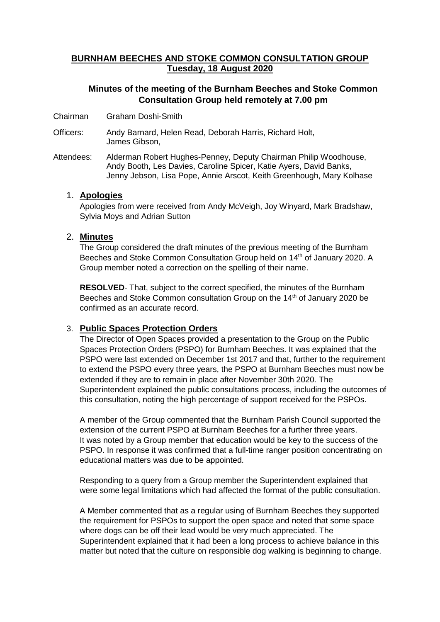# **BURNHAM BEECHES AND STOKE COMMON CONSULTATION GROUP Tuesday, 18 August 2020**

## **Minutes of the meeting of the Burnham Beeches and Stoke Common Consultation Group held remotely at 7.00 pm**

- Chairman Graham Doshi-Smith
- Officers: Andy Barnard, Helen Read, Deborah Harris, Richard Holt, James Gibson,
- Attendees: Alderman Robert Hughes-Penney, Deputy Chairman Philip Woodhouse, Andy Booth, Les Davies, Caroline Spicer, Katie Ayers, David Banks, Jenny Jebson, Lisa Pope, Annie Arscot, Keith Greenhough, Mary Kolhase

### 1. **Apologies**

Apologies from were received from Andy McVeigh, Joy Winyard, Mark Bradshaw, Sylvia Moys and Adrian Sutton

### 2. **Minutes**

The Group considered the draft minutes of the previous meeting of the Burnham Beeches and Stoke Common Consultation Group held on 14<sup>th</sup> of January 2020. A Group member noted a correction on the spelling of their name.

**RESOLVED**- That, subject to the correct specified, the minutes of the Burnham Beeches and Stoke Common consultation Group on the 14<sup>th</sup> of January 2020 be confirmed as an accurate record.

## 3. **Public Spaces Protection Orders**

The Director of Open Spaces provided a presentation to the Group on the Public Spaces Protection Orders (PSPO) for Burnham Beeches. It was explained that the PSPO were last extended on December 1st 2017 and that, further to the requirement to extend the PSPO every three years, the PSPO at Burnham Beeches must now be extended if they are to remain in place after November 30th 2020. The Superintendent explained the public consultations process, including the outcomes of this consultation, noting the high percentage of support received for the PSPOs.

A member of the Group commented that the Burnham Parish Council supported the extension of the current PSPO at Burnham Beeches for a further three years. It was noted by a Group member that education would be key to the success of the PSPO. In response it was confirmed that a full-time ranger position concentrating on educational matters was due to be appointed.

Responding to a query from a Group member the Superintendent explained that were some legal limitations which had affected the format of the public consultation.

A Member commented that as a regular using of Burnham Beeches they supported the requirement for PSPOs to support the open space and noted that some space where dogs can be off their lead would be very much appreciated. The Superintendent explained that it had been a long process to achieve balance in this matter but noted that the culture on responsible dog walking is beginning to change.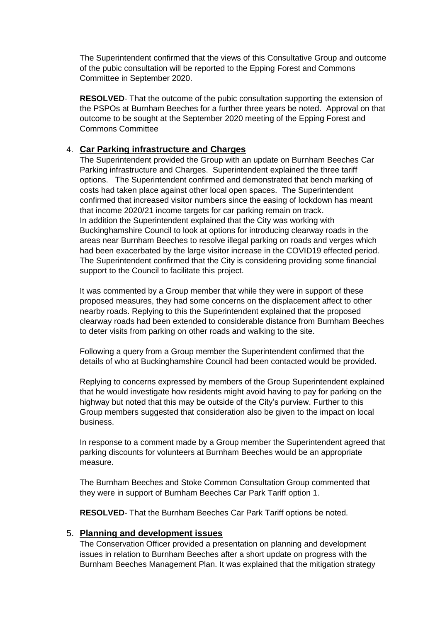The Superintendent confirmed that the views of this Consultative Group and outcome of the pubic consultation will be reported to the Epping Forest and Commons Committee in September 2020.

**RESOLVED**- That the outcome of the pubic consultation supporting the extension of the PSPOs at Burnham Beeches for a further three years be noted. Approval on that outcome to be sought at the September 2020 meeting of the Epping Forest and Commons Committee

## 4. **Car Parking infrastructure and Charges**

The Superintendent provided the Group with an update on Burnham Beeches Car Parking infrastructure and Charges. Superintendent explained the three tariff options. The Superintendent confirmed and demonstrated that bench marking of costs had taken place against other local open spaces. The Superintendent confirmed that increased visitor numbers since the easing of lockdown has meant that income 2020/21 income targets for car parking remain on track. In addition the Superintendent explained that the City was working with Buckinghamshire Council to look at options for introducing clearway roads in the areas near Burnham Beeches to resolve illegal parking on roads and verges which had been exacerbated by the large visitor increase in the COVID19 effected period. The Superintendent confirmed that the City is considering providing some financial support to the Council to facilitate this project.

It was commented by a Group member that while they were in support of these proposed measures, they had some concerns on the displacement affect to other nearby roads. Replying to this the Superintendent explained that the proposed clearway roads had been extended to considerable distance from Burnham Beeches to deter visits from parking on other roads and walking to the site.

Following a query from a Group member the Superintendent confirmed that the details of who at Buckinghamshire Council had been contacted would be provided.

Replying to concerns expressed by members of the Group Superintendent explained that he would investigate how residents might avoid having to pay for parking on the highway but noted that this may be outside of the City's purview. Further to this Group members suggested that consideration also be given to the impact on local business.

In response to a comment made by a Group member the Superintendent agreed that parking discounts for volunteers at Burnham Beeches would be an appropriate measure.

The Burnham Beeches and Stoke Common Consultation Group commented that they were in support of Burnham Beeches Car Park Tariff option 1.

**RESOLVED**- That the Burnham Beeches Car Park Tariff options be noted.

#### 5. **Planning and development issues**

The Conservation Officer provided a presentation on planning and development issues in relation to Burnham Beeches after a short update on progress with the Burnham Beeches Management Plan. It was explained that the mitigation strategy